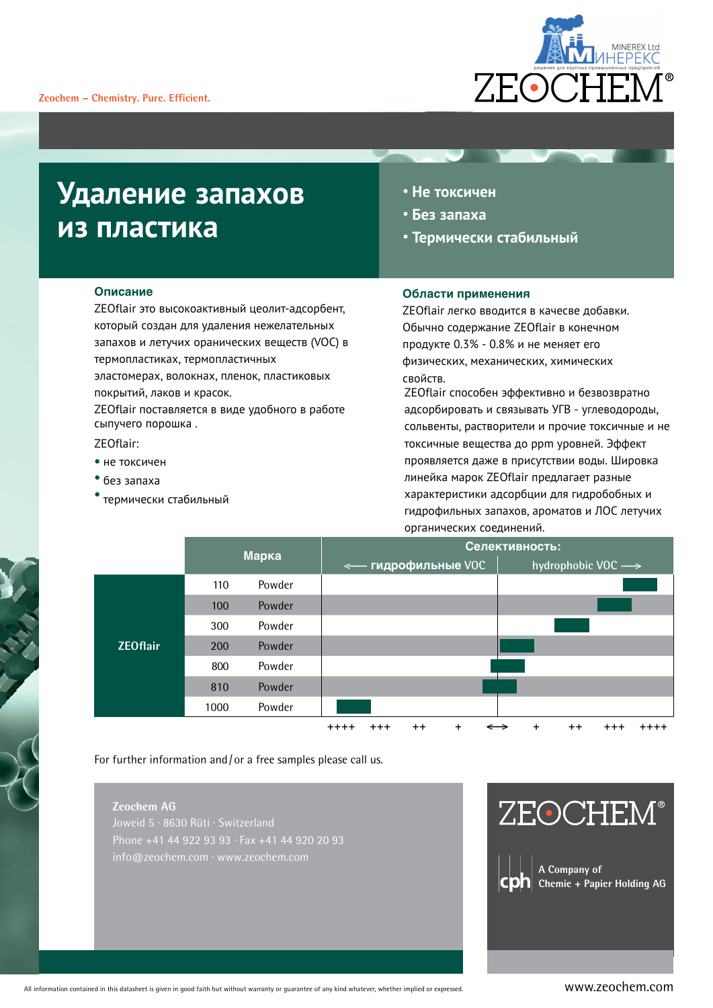

## **Удаление запахов из пластика**

- **Не токсичен**
- **Без запаха**
- **Термически стабильный**

### **Описание**

ZEOflair это высокоактивный цеолит-адсорбент, который создан для удаления нежелательных запахов и летучих оранических веществ (VOC) в термопластиках, термопластичных эластомерах, волокнах, пленок, пластиковых

покрытий, лаков и красок. ZEOflair поставляется в виде удобного в работе сыпучего порошка .

ZEOflair:

- не токсичен
- без запаха
- термически стабильный

### **Области применения**

ZEOflair легко вводится в качесве добавки. Обычно содержание ZEOflair в конечном продукте 0.3% - 0.8% и не меняет его физических, механических, химических свойств.

ZEOflair способен эффективно и безвозвратно адсорбировать и связывать УГВ - углеводороды, сольвенты, растворители и прочие токсичные и не токсичные вещества до ppm уровней. Эффект проявляется даже в присутствии воды. Шировка линейка марок ZEOflair предлагает разные характеристики адсорбции для гидробобных и гидрофильных запахов, ароматов и ЛОС летучих органических соединений.



For further information and/or a free samples please call us.

### **Zeochem AG**

Joweid 5 · 8630 Rüti · Switzerland Phone +41 44 922 93 93 · Fax +41 44 920 20 93 info@zeochem.com · www.zeochem.com